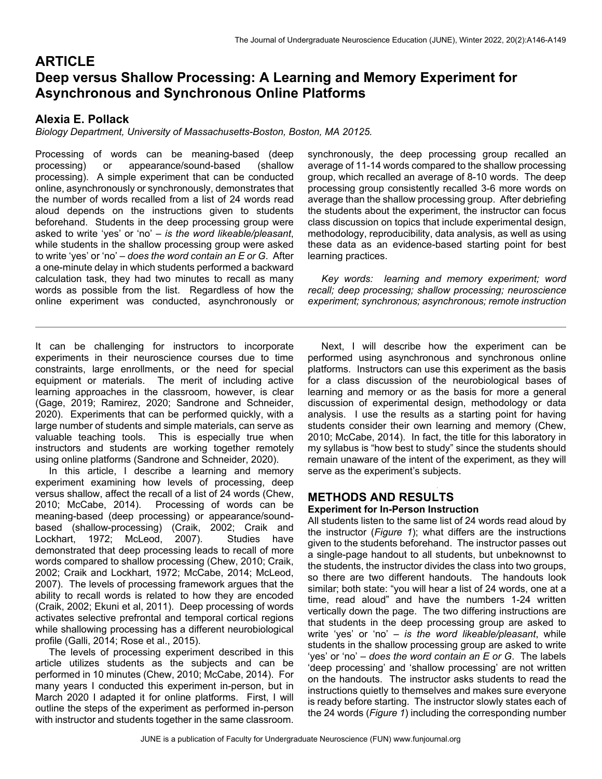# **ARTICLE Deep versus Shallow Processing: A Learning and Memory Experiment for Asynchronous and Synchronous Online Platforms**

## **Alexia E. Pollack**

*Biology Department, University of Massachusetts-Boston, Boston, MA 20125.* 

Processing of words can be meaning-based (deep processing) or appearance/sound-based (shallow processing). A simple experiment that can be conducted online, asynchronously or synchronously, demonstrates that the number of words recalled from a list of 24 words read aloud depends on the instructions given to students beforehand. Students in the deep processing group were asked to write 'yes' or 'no' – *is the word likeable/pleasant*, while students in the shallow processing group were asked to write 'yes' or 'no' – *does the word contain an E or G*. After a one-minute delay in which students performed a backward calculation task, they had two minutes to recall as many words as possible from the list. Regardless of how the online experiment was conducted, asynchronously or

synchronously, the deep processing group recalled an average of 11-14 words compared to the shallow processing group, which recalled an average of 8-10 words. The deep processing group consistently recalled 3-6 more words on average than the shallow processing group. After debriefing the students about the experiment, the instructor can focus class discussion on topics that include experimental design, methodology, reproducibility, data analysis, as well as using these data as an evidence-based starting point for best learning practices.

 *Key words: learning and memory experiment; word recall; deep processing; shallow processing; neuroscience experiment; synchronous; asynchronous; remote instruction* 

It can be challenging for instructors to incorporate experiments in their neuroscience courses due to time constraints, large enrollments, or the need for special equipment or materials. The merit of including active learning approaches in the classroom, however, is clear (Gage, 2019; Ramirez, 2020; Sandrone and Schneider, 2020). Experiments that can be performed quickly, with a large number of students and simple materials, can serve as valuable teaching tools. This is especially true when instructors and students are working together remotely using online platforms (Sandrone and Schneider, 2020).

In this article, I describe a learning and memory experiment examining how levels of processing, deep versus shallow, affect the recall of a list of 24 words (Chew, 2010; McCabe, 2014). Processing of words can be meaning-based (deep processing) or appearance/soundbased (shallow-processing) (Craik, 2002; Craik and Lockhart, 1972; McLeod, 2007). Studies have demonstrated that deep processing leads to recall of more words compared to shallow processing (Chew, 2010; Craik, 2002; Craik and Lockhart, 1972; McCabe, 2014; McLeod, 2007). The levels of processing framework argues that the ability to recall words is related to how they are encoded (Craik, 2002; Ekuni et al, 2011). Deep processing of words activates selective prefrontal and temporal cortical regions while shallowing processing has a different neurobiological profile (Galli, 2014; Rose et al., 2015).

 The levels of processing experiment described in this article utilizes students as the subjects and can be performed in 10 minutes (Chew, 2010; McCabe, 2014). For many years I conducted this experiment in-person, but in March 2020 I adapted it for online platforms. First, I will outline the steps of the experiment as performed in-person with instructor and students together in the same classroom.

 Next, I will describe how the experiment can be performed using asynchronous and synchronous online platforms. Instructors can use this experiment as the basis for a class discussion of the neurobiological bases of learning and memory or as the basis for more a general discussion of experimental design, methodology or data analysis. I use the results as a starting point for having students consider their own learning and memory (Chew, 2010; McCabe, 2014). In fact, the title for this laboratory in my syllabus is "how best to study" since the students should remain unaware of the intent of the experiment, as they will serve as the experiment's subjects.

## **METHODS AND RESULTS**

## **Experiment for In-Person Instruction**

All students listen to the same list of 24 words read aloud by the instructor (*Figure 1*); what differs are the instructions given to the students beforehand. The instructor passes out a single-page handout to all students, but unbeknownst to the students, the instructor divides the class into two groups, so there are two different handouts. The handouts look similar; both state: "you will hear a list of 24 words, one at a time, read aloud" and have the numbers 1-24 written vertically down the page. The two differing instructions are that students in the deep processing group are asked to write 'yes' or 'no' – *is the word likeable/pleasant*, while students in the shallow processing group are asked to write 'yes' or 'no' – *does the word contain an E or G*. The labels 'deep processing' and 'shallow processing' are not written on the handouts. The instructor asks students to read the instructions quietly to themselves and makes sure everyone is ready before starting. The instructor slowly states each of the 24 words (*Figure 1*) including the corresponding number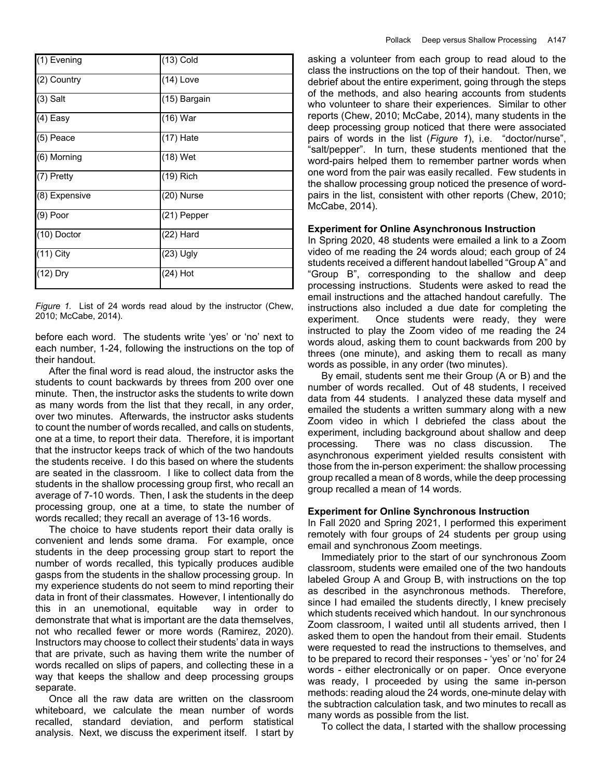| (1) Evening   | $(13)$ Cold  |
|---------------|--------------|
| (2) Country   | $(14)$ Love  |
| $(3)$ Salt    | (15) Bargain |
| $(4)$ Easy    | (16) War     |
| (5) Peace     | $(17)$ Hate  |
| (6) Morning   | (18) Wet     |
| (7) Pretty    | $(19)$ Rich  |
| (8) Expensive | (20) Nurse   |
| $(9)$ Poor    | (21) Pepper  |
| (10) Doctor   | $(22)$ Hard  |
| $(11)$ City   | $(23)$ Ugly  |
| $(12)$ Dry    | $(24)$ Hot   |

*Figure 1.* List of 24 words read aloud by the instructor (Chew, 2010; McCabe, 2014).

before each word. The students write 'yes' or 'no' next to each number, 1-24, following the instructions on the top of their handout.

 After the final word is read aloud, the instructor asks the students to count backwards by threes from 200 over one minute. Then, the instructor asks the students to write down as many words from the list that they recall, in any order, over two minutes. Afterwards, the instructor asks students to count the number of words recalled, and calls on students, one at a time, to report their data. Therefore, it is important that the instructor keeps track of which of the two handouts the students receive. I do this based on where the students are seated in the classroom. I like to collect data from the students in the shallow processing group first, who recall an average of 7-10 words. Then, I ask the students in the deep processing group, one at a time, to state the number of words recalled; they recall an average of 13-16 words.

 The choice to have students report their data orally is convenient and lends some drama. For example, once students in the deep processing group start to report the number of words recalled, this typically produces audible gasps from the students in the shallow processing group. In my experience students do not seem to mind reporting their data in front of their classmates. However, I intentionally do this in an unemotional, equitable way in order to demonstrate that what is important are the data themselves, not who recalled fewer or more words (Ramirez, 2020). Instructors may choose to collect their students' data in ways that are private, such as having them write the number of words recalled on slips of papers, and collecting these in a way that keeps the shallow and deep processing groups separate.

 Once all the raw data are written on the classroom whiteboard, we calculate the mean number of words recalled, standard deviation, and perform statistical analysis. Next, we discuss the experiment itself. I start by asking a volunteer from each group to read aloud to the class the instructions on the top of their handout. Then, we debrief about the entire experiment, going through the steps of the methods, and also hearing accounts from students who volunteer to share their experiences. Similar to other reports (Chew, 2010; McCabe, 2014), many students in the deep processing group noticed that there were associated pairs of words in the list (*Figure 1*), i.e. "doctor/nurse", "salt/pepper". In turn, these students mentioned that the word-pairs helped them to remember partner words when one word from the pair was easily recalled. Few students in the shallow processing group noticed the presence of wordpairs in the list, consistent with other reports (Chew, 2010; McCabe, 2014).

#### **Experiment for Online Asynchronous Instruction**

In Spring 2020, 48 students were emailed a link to a Zoom video of me reading the 24 words aloud; each group of 24 students received a different handout labelled "Group A" and "Group B", corresponding to the shallow and deep processing instructions. Students were asked to read the email instructions and the attached handout carefully. The instructions also included a due date for completing the experiment. Once students were ready, they were instructed to play the Zoom video of me reading the 24 words aloud, asking them to count backwards from 200 by threes (one minute), and asking them to recall as many words as possible, in any order (two minutes).

 By email, students sent me their Group (A or B) and the number of words recalled. Out of 48 students, I received data from 44 students. I analyzed these data myself and emailed the students a written summary along with a new Zoom video in which I debriefed the class about the experiment, including background about shallow and deep processing. There was no class discussion. The asynchronous experiment yielded results consistent with those from the in-person experiment: the shallow processing group recalled a mean of 8 words, while the deep processing group recalled a mean of 14 words.

#### **Experiment for Online Synchronous Instruction**

In Fall 2020 and Spring 2021, I performed this experiment remotely with four groups of 24 students per group using email and synchronous Zoom meetings.

 Immediately prior to the start of our synchronous Zoom classroom, students were emailed one of the two handouts labeled Group A and Group B, with instructions on the top as described in the asynchronous methods. Therefore, since I had emailed the students directly, I knew precisely which students received which handout. In our synchronous Zoom classroom, I waited until all students arrived, then I asked them to open the handout from their email. Students were requested to read the instructions to themselves, and to be prepared to record their responses - 'yes' or 'no' for 24 words - either electronically or on paper. Once everyone was ready, I proceeded by using the same in-person methods: reading aloud the 24 words, one-minute delay with the subtraction calculation task, and two minutes to recall as many words as possible from the list.

To collect the data, I started with the shallow processing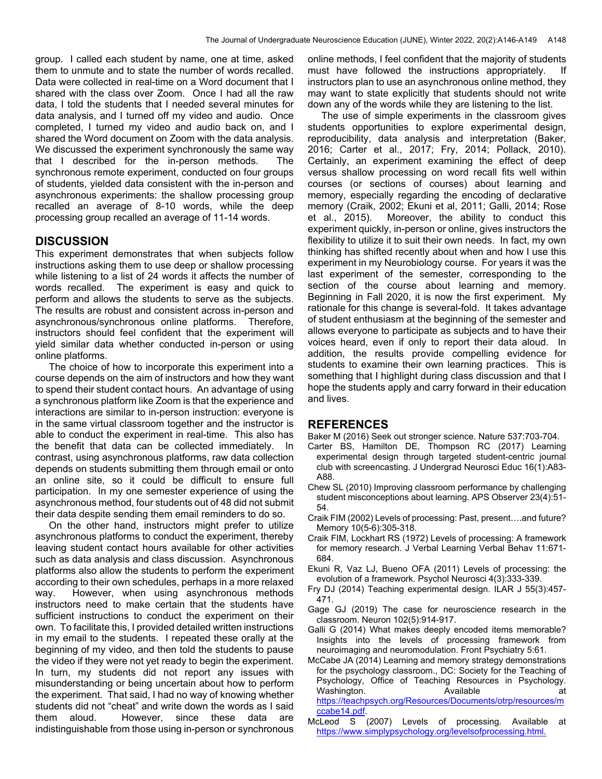group. I called each student by name, one at time, asked them to unmute and to state the number of words recalled. Data were collected in real-time on a Word document that I shared with the class over Zoom. Once I had all the raw data, I told the students that I needed several minutes for data analysis, and I turned off my video and audio. Once completed, I turned my video and audio back on, and I shared the Word document on Zoom with the data analysis. We discussed the experiment synchronously the same way that I described for the in-person methods. The synchronous remote experiment, conducted on four groups of students, yielded data consistent with the in-person and asynchronous experiments: the shallow processing group recalled an average of 8-10 words, while the deep processing group recalled an average of 11-14 words.

## **DISCUSSION**

This experiment demonstrates that when subjects follow instructions asking them to use deep or shallow processing while listening to a list of 24 words it affects the number of words recalled. The experiment is easy and quick to perform and allows the students to serve as the subjects. The results are robust and consistent across in-person and asynchronous/synchronous online platforms. Therefore, instructors should feel confident that the experiment will yield similar data whether conducted in-person or using online platforms.

 The choice of how to incorporate this experiment into a course depends on the aim of instructors and how they want to spend their student contact hours. An advantage of using a synchronous platform like Zoom is that the experience and interactions are similar to in-person instruction: everyone is in the same virtual classroom together and the instructor is able to conduct the experiment in real-time. This also has the benefit that data can be collected immediately. In contrast, using asynchronous platforms, raw data collection depends on students submitting them through email or onto an online site, so it could be difficult to ensure full participation. In my one semester experience of using the asynchronous method, four students out of 48 did not submit their data despite sending them email reminders to do so.

 On the other hand, instructors might prefer to utilize asynchronous platforms to conduct the experiment, thereby leaving student contact hours available for other activities such as data analysis and class discussion. Asynchronous platforms also allow the students to perform the experiment according to their own schedules, perhaps in a more relaxed way. However, when using asynchronous methods instructors need to make certain that the students have sufficient instructions to conduct the experiment on their own. To facilitate this, I provided detailed written instructions in my email to the students. I repeated these orally at the beginning of my video, and then told the students to pause the video if they were not yet ready to begin the experiment. In turn, my students did not report any issues with misunderstanding or being uncertain about how to perform the experiment. That said, I had no way of knowing whether students did not "cheat" and write down the words as I said them aloud. However, since these data are indistinguishable from those using in-person or synchronous

online methods, I feel confident that the majority of students must have followed the instructions appropriately. If instructors plan to use an asynchronous online method, they may want to state explicitly that students should not write down any of the words while they are listening to the list.

 The use of simple experiments in the classroom gives students opportunities to explore experimental design, reproducibility, data analysis and interpretation (Baker, 2016; Carter et al., 2017; Fry, 2014; Pollack, 2010). Certainly, an experiment examining the effect of deep versus shallow processing on word recall fits well within courses (or sections of courses) about learning and memory, especially regarding the encoding of declarative memory (Craik, 2002; Ekuni et al, 2011; Galli, 2014; Rose et al., 2015). Moreover, the ability to conduct this experiment quickly, in-person or online, gives instructors the flexibility to utilize it to suit their own needs. In fact, my own thinking has shifted recently about when and how I use this experiment in my Neurobiology course. For years it was the last experiment of the semester, corresponding to the section of the course about learning and memory. Beginning in Fall 2020, it is now the first experiment. My rationale for this change is several-fold. It takes advantage of student enthusiasm at the beginning of the semester and allows everyone to participate as subjects and to have their voices heard, even if only to report their data aloud. In addition, the results provide compelling evidence for students to examine their own learning practices. This is something that I highlight during class discussion and that I hope the students apply and carry forward in their education and lives.

### **REFERENCES**

- Baker M (2016) Seek out stronger science. Nature 537:703-704.
- Carter BS, Hamilton DE, Thompson RC (2017) Learning experimental design through targeted student-centric journal club with screencasting. J Undergrad Neurosci Educ 16(1):A83- A88.
- Chew SL (2010) Improving classroom performance by challenging student misconceptions about learning. APS Observer 23(4):51- 54.
- Craik FIM (2002) Levels of processing: Past, present….and future? Memory 10(5-6):305-318.
- Craik FIM, Lockhart RS (1972) Levels of processing: A framework for memory research. J Verbal Learning Verbal Behav 11:671- 684.
- Ekuni R, Vaz LJ, Bueno OFA (2011) Levels of processing: the evolution of a framework. Psychol Neurosci 4(3):333-339.
- Fry DJ (2014) Teaching experimental design. ILAR J 55(3):457- 471.
- Gage GJ (2019) The case for neuroscience research in the classroom. Neuron 102(5):914-917.
- Galli G (2014) What makes deeply encoded items memorable? Insights into the levels of processing framework from neuroimaging and neuromodulation. Front Psychiatry 5:61.
- McCabe JA (2014) Learning and memory strategy demonstrations for the psychology classroom., DC: Society for the Teaching of Psychology, Office of Teaching Resources in Psychology. Washington. **Available Available** at https://teachpsych.org/Resources/Documents/otrp/resources/m ccabe14.pdf.
- McLeod S (2007) Levels of processing. Available at https://www.simplypsychology.org/levelsofprocessing.html.